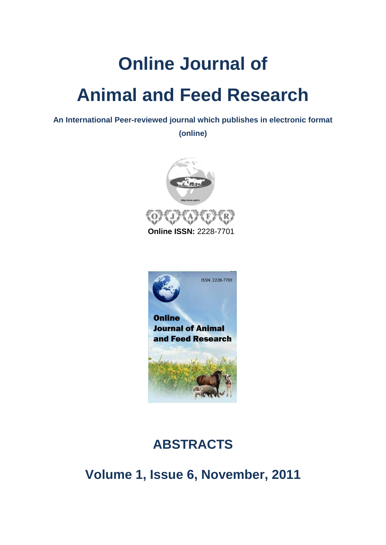# **Online Journal of Animal and Feed Research**

**An International Peer-reviewed journal which publishes in electronic format** 

**(online)**



**Online ISSN:** 2228-7701



## **ABSTRACTS**

**Volume 1, Issue 6, November, 2011**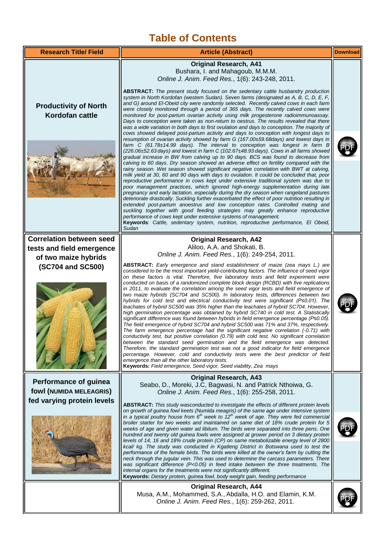### **Table of Contents**

| <b>Research Title/ Field</b>                                                          | <b>Article (Abstract)</b>                                                                                                                                                                                                                                                                                                                                                                                                                                                                                                                                                                                                                                                                                                                                                                                                                                                                                                                                                                                                                                                                                                                                                                                                                                                                                                                                                                                                                                                                                                                                                                                                                                                                                                                                                                                                                                                                                                                                                                                                                                                                   | <b>Download</b> |
|---------------------------------------------------------------------------------------|---------------------------------------------------------------------------------------------------------------------------------------------------------------------------------------------------------------------------------------------------------------------------------------------------------------------------------------------------------------------------------------------------------------------------------------------------------------------------------------------------------------------------------------------------------------------------------------------------------------------------------------------------------------------------------------------------------------------------------------------------------------------------------------------------------------------------------------------------------------------------------------------------------------------------------------------------------------------------------------------------------------------------------------------------------------------------------------------------------------------------------------------------------------------------------------------------------------------------------------------------------------------------------------------------------------------------------------------------------------------------------------------------------------------------------------------------------------------------------------------------------------------------------------------------------------------------------------------------------------------------------------------------------------------------------------------------------------------------------------------------------------------------------------------------------------------------------------------------------------------------------------------------------------------------------------------------------------------------------------------------------------------------------------------------------------------------------------------|-----------------|
|                                                                                       | <b>Original Research, A41</b><br>Bushara, I. and Mahagoub, M.M.M.<br>Online J. Anim. Feed Res., 1(6): 243-248, 2011.                                                                                                                                                                                                                                                                                                                                                                                                                                                                                                                                                                                                                                                                                                                                                                                                                                                                                                                                                                                                                                                                                                                                                                                                                                                                                                                                                                                                                                                                                                                                                                                                                                                                                                                                                                                                                                                                                                                                                                        |                 |
| <b>Productivity of North</b><br>Kordofan cattle                                       | ABSTRACT: The present study focused on the sedentary cattle husbandry production<br>system in North Kordofan (western Sudan). Seven farms (designated as A, B, C, D, E, F,<br>and G) around El-Obeid city were randomly selected. Recently calved cows in each farm<br>were closely monitored through a period of 365 days. The recently calved cows were<br>monitored for post-partum ovarian activity using milk progesterone radioimmunoassay.<br>Days to conception were taken as non-return to oestrus. The results revealed that there<br>was a wide variation in both days to first ovulation and days to conception. The majority of<br>cows showed delayed post-partum activity and days to conception with longest days to<br>resumption of ovarian activity showed by farm G (167.00±59.68days) and lowest days in<br>farm C (61.78±14.99 days). The interval to conception was longest in farm B<br>(226.06±52.63 days) and lowest in farm C (102.67±48.93 days). Cows in all farms showed<br>gradual increase in BW from calving up to 90 days. BCS was found to decrease from<br>calving to 60 days. Dry season showed an adverse effect on fertility compared with the<br>rainy season. Wet season showed significant negative correlation with BWT at calving,<br>milk yield at 30, 60 and 90 days with days to ovulation. It could be concluded that, poor<br>reproductive performance in cows kept under extensive traditional system was due to<br>poor management practices, which ignored high-energy supplementation during late<br>pregnancy and early lactation, especially during the dry season when rangeland pastures<br>deteriorate drastically. Suckling further exacerbated the effect of poor nutrition resulting in<br>extended post-partum anoestrus and low conception rates. Controlled mating and<br>suckling together with good feeding strategies may greatly enhance reproductive<br>performance of cows kept under extensive systems of management.<br>Keywords: Cattle, sedentary system, nutrition, reproductive performance, El Obeid,<br>Sudan |                 |
| <b>Correlation between seed</b>                                                       | <b>Original Research, A42</b>                                                                                                                                                                                                                                                                                                                                                                                                                                                                                                                                                                                                                                                                                                                                                                                                                                                                                                                                                                                                                                                                                                                                                                                                                                                                                                                                                                                                                                                                                                                                                                                                                                                                                                                                                                                                                                                                                                                                                                                                                                                               |                 |
| tests and field emergence                                                             | Aliloo, A.A. and Shokati, B.                                                                                                                                                                                                                                                                                                                                                                                                                                                                                                                                                                                                                                                                                                                                                                                                                                                                                                                                                                                                                                                                                                                                                                                                                                                                                                                                                                                                                                                                                                                                                                                                                                                                                                                                                                                                                                                                                                                                                                                                                                                                |                 |
| of two maize hybrids                                                                  | Online J. Anim. Feed Res., 1(6): 249-254, 2011.<br>ABSTRACT: Early emergence and stand establishment of maize (zea mays L.) are                                                                                                                                                                                                                                                                                                                                                                                                                                                                                                                                                                                                                                                                                                                                                                                                                                                                                                                                                                                                                                                                                                                                                                                                                                                                                                                                                                                                                                                                                                                                                                                                                                                                                                                                                                                                                                                                                                                                                             |                 |
| (SC704 and SC500)                                                                     | considered to be the most important yield-contributing factors. The influence of seed vigor<br>on these factors is vital. Therefore, five laboratory tests and field experiment were<br>conducted on basis of a randomized complete block design (RCBD) with five replications<br>in 2011, to evaluate the correlation among the seed vigor tests and field emergence of<br>two maize hybrids (SC704 and SC500). In laboratory tests, differences between two<br>hybrids for cold test and electrical conductivity test were significant ( $P \le 0.01$ ). The<br>leachates of hybrid SC500 was 35% higher than the leachates of hybrid SC704. However,<br>high germination percentage was obtained by hybrid SC740 in cold test. A Statistically<br>significant difference was found between hybrids in field emergence percentage ( $P \le 0.05$ ).<br>The field emergence of hybrid SC704 and hybrid SC500 was 71% and 37%, respectively.<br>The farm emergence percentage had the significant negative correlation (-0.71) with<br>conductivity test, but positive correlation (0.79) with cold test. No significant correlation<br>between the standard seed germination and the field emergence was detected.<br>Therefore, the standard germination test was not a good indicator for field emergence<br>percentage. However, cold and conductivity tests were the best predictor of field<br>emergence than all the other laboratory tests.<br>Keywords: Field emergence, Seed vigor, Seed viability, Zea mays                                                                                                                                                                                                                                                                                                                                                                                                                                                                                                                                                                      |                 |
| <b>Performance of guinea</b><br>fowl (NUMIDA MELEAGRIS)<br>fed varying protein levels | <b>Original Research, A43</b><br>Seabo, D., Moreki, J.C, Bagwasi, N. and Patrick Nthoiwa, G.<br>Online J. Anim. Feed Res., 1(6): 255-258, 2011.<br>ABSTRACT: This study wasconducted to investigate the effects of different protein levels<br>on growth of guinea fowl keets (Numida meagris) of the same age under intensive system<br>in a typical poultry house from $6th$ week to $12th$ week of age. They were fed commercial<br>broiler starter for two weeks and maintained on same diet of 18% crude protein for 5<br>weeks of age and given water ad libitum. The birds were separated into three pens. One<br>hundred and twenty old guinea fowls were assigned at grower period on 3 dietary protein<br>levels of 14, 16 and 18% crude protein (CP) on same metabolizable energy level of 2800<br>kcal/ kg. The study was conducted in Kgatleng District in Botswana used to test the<br>performance of the female birds. The birds were killed at the owner's farm by cutting the<br>neck through the jugular vein. This was used to determine the carcass parameters. There<br>was significant difference $(P<0.05)$ in feed intake between the three treatments. The<br>internal organs for the treatments were not significantly different.<br>Keywords: Dietary protein, guinea fowl, body weight gain, feeding performance                                                                                                                                                                                                                                                                                                                                                                                                                                                                                                                                                                                                                                                                                                                                                |                 |
|                                                                                       | <b>Original Research, A44</b><br>Musa, A.M., Mohammed, S.A., Abdalla, H.O. and Elamin, K.M.<br>Online J. Anim. Feed Res., 1(6): 259-262, 2011.                                                                                                                                                                                                                                                                                                                                                                                                                                                                                                                                                                                                                                                                                                                                                                                                                                                                                                                                                                                                                                                                                                                                                                                                                                                                                                                                                                                                                                                                                                                                                                                                                                                                                                                                                                                                                                                                                                                                              |                 |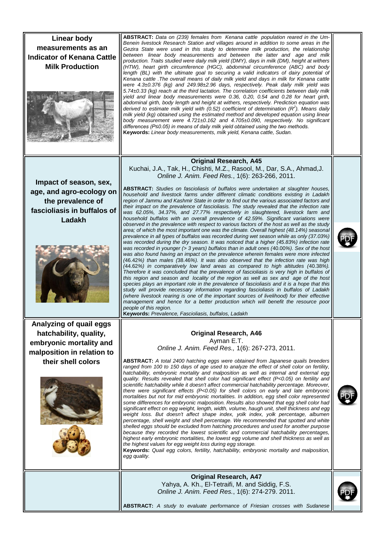| <b>Linear body</b><br>measurements as an<br><b>Indicator of Kenana Cattle</b><br><b>Milk Production</b>                          | ABSTRACT: Data on (239) females from Kenana cattle population reared in the Um-<br>Benein livestock Research Station and villages around in addition to some areas in the<br>Gezira State were used in this study to determine milk production, the relationship<br>between linear body measurements and between the latter and age and milk<br>production. Traits studied were daily milk yield (DMY), days in milk (DM), height at withers<br>(HTW), heart girth circumference (HGC), abdominal circumference (ABC) and body<br>length (BL) with the ultimate goal to securing a valid indicators of dairy potential of<br>Kenana cattle . The overall means of daily milk yield and days in milk for Kenana cattle<br>were 4.3±0.376 (kg) and 249.98±2.96 days, respectively. Peak daily milk yield was<br>5.74±0.33 (kg) reach at the third lactation. The correlation coefficients between daily milk<br>yield and linear body measurements were 0.36, 0.20, 0.54 and 0.28 for heart girth,<br>abdominal girth, body length and height at withers, respectively. Prediction equation was<br>derived to estimate milk yield with (0.52) coefficient of determination $(R2)$ . Means daily<br>milk yield (kg) obtained using the estimated method and developed equation using linear<br>body measurement were 4.721±0.162 and 4.705±0.090, respectively. No significant<br>differences ( $P \le 0.05$ ) in means of daily milk yield obtained using the two methods.<br>Keywords: Linear body measurements, milk yield, Kenana cattle, Sudan.                                                                                                                                                                                                                                                                                                                                                                                                                                                                                                                                                                             |  |
|----------------------------------------------------------------------------------------------------------------------------------|-------------------------------------------------------------------------------------------------------------------------------------------------------------------------------------------------------------------------------------------------------------------------------------------------------------------------------------------------------------------------------------------------------------------------------------------------------------------------------------------------------------------------------------------------------------------------------------------------------------------------------------------------------------------------------------------------------------------------------------------------------------------------------------------------------------------------------------------------------------------------------------------------------------------------------------------------------------------------------------------------------------------------------------------------------------------------------------------------------------------------------------------------------------------------------------------------------------------------------------------------------------------------------------------------------------------------------------------------------------------------------------------------------------------------------------------------------------------------------------------------------------------------------------------------------------------------------------------------------------------------------------------------------------------------------------------------------------------------------------------------------------------------------------------------------------------------------------------------------------------------------------------------------------------------------------------------------------------------------------------------------------------------------------------------------------------------------------------------------------------------------|--|
| Impact of season, sex,<br>age, and agro-ecology on<br>the prevalence of<br>fascioliasis in buffalos of<br>Ladakh                 | <b>Original Research, A45</b><br>Kuchai, J.A., Tak, H., Chishti, M.Z., Rasool, M., Dar, S.A., Ahmad, J.<br>Online J. Anim. Feed Res., 1(6): 263-266, 2011.<br><b>ABSTRACT:</b> Studies on fascioliasis of buffalos were undertaken at slaughter houses,<br>household and livestock farms under different climatic conditions existing in Ladakh<br>region of Jammu and Kashmir State in order to find out the various associated factors and<br>their impact on the prevalence of fascioliasis. The study revealed that the infection rate<br>was 62.05%, 34.37%, and 27.77% respectively in slaughtered, livestock farm and<br>household buffalos with an overall prevalence of 42.59%. Significant variations were<br>observed in the prevalence with respect to various factors of the host as well as the study<br>area; of which the most important one was the climate. Overall highest (48.14%) seasonal<br>prevalence in all types of buffalos was recorded during wet season while as only (37.03%)<br>was recorded during the dry season. It was noticed that a higher (45.83%) infection rate<br>was recorded in younger (> 3 years) buffalos than in adult ones (40.00%). Sex of the host<br>was also found having an impact on the prevalence wherein females were more infected<br>(46.42%) than males (38.46%). It was also observed that the infection rate was high<br>(44.62%) in comparatively low land areas as compared to high altitudes (40.38%).<br>Therefore it was concluded that the prevalence of fascioliasis is very high in buffalos of<br>this region and season and locality of the region as well as sex and age of the host<br>species plays an important role in the prevalence of fascioliasis and it is a hope that this<br>study will provide necessary information regarding fascioliasis in buffalos of Ladakh<br>(where livestock rearing is one of the important sources of livelihood) for their effective<br>management and hence for a better production which will benefit the resource poor<br>people of this region.<br>Keywords: Prevalence, Fascioliasis, buffalos, Ladakh |  |
| Analyzing of quail eggs<br>hatchability, quality,<br>embryonic mortality and<br>malposition in relation to<br>their shell colors | <b>Original Research, A46</b><br>Ayman E.T.<br>Online J. Anim. Feed Res., 1(6): 267-273, 2011.<br><b>ABSTRACT:</b> A total 2400 hatching eggs were obtained from Japanese quails breeders<br>ranged from 100 to 150 days of age used to analyze the effect of shell color on fertility,<br>hatchability, embryonic mortality and malposition as well as internal and external egg<br>quality. Results revealed that shell color had significant effect $(P<0.05)$ on fertility and<br>scientific hatchability while it doesn't affect commercial hatchability percentage. Moreover,<br>there were significant effects (P<0.05) for shell colors on early and late embryonic<br>mortalities but not for mid embryonic mortalities. In addition, egg shell color represented<br>some differences for embryonic malposition. Results also showed that egg shell color had<br>significant effect on egg weight, length, width, volume, haugh unit, shell thickness and egg<br>weight loss. But doesn't affect shape index, yolk index, yolk percentage, albumen<br>percentage, shell weight and shell percentage. We recommended that spotted and white<br>shelled eggs should be excluded from hatching procedures and used for another purpose<br>because they recorded the lowest scientific and commercial hatchability percentages,<br>highest early embryonic mortalities, the lowest egg volume and shell thickness as well as<br>the highest values for egg weight loss during egg storage.<br>Keywords: Quail egg colors, fertility, hatchability, embryonic mortality and malposition,<br>egg quality.                                                                                                                                                                                                                                                                                                                                                                                                                                                                                                                  |  |
|                                                                                                                                  | <b>Original Research, A47</b><br>Yahya, A. Kh., El-Tetraifi, M. and Siddig, F.S.<br>Online J. Anim. Feed Res., 1(6): 274-279. 2011.<br>ABSTRACT: A study to evaluate performance of Friesian crosses with Sudanese                                                                                                                                                                                                                                                                                                                                                                                                                                                                                                                                                                                                                                                                                                                                                                                                                                                                                                                                                                                                                                                                                                                                                                                                                                                                                                                                                                                                                                                                                                                                                                                                                                                                                                                                                                                                                                                                                                            |  |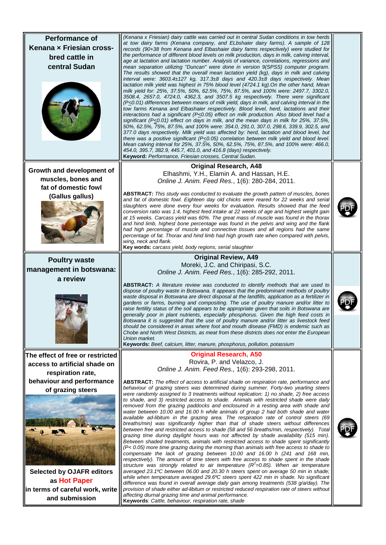| <b>Performance of</b><br>Kenana x Friesian cross-<br>bred cattle in<br>central Sudan                                                                    | (Kenana x Friesian) dairy cattle was carried out in central Sudan conditions in tow herds<br>at tow dairy farms (Kenana company, and ELbshaier dairy farms). A sample of 128<br>records (90+38 from Kenana and Elbashaier dairy farms respectively) were studied for<br>the performance of different blood levels on milk production, days in milk, calving interval,<br>age at lactation and lactation number. Analysis of variance, correlations, regressions and<br>mean separation utilizing "Duncan" were done in version 9(SPSS) computer program.<br>The results showed that the overall mean lactation yield (kg), days in milk and calving<br>interval were: 3603.4±127 kg, 317.3±8 days and 420.3±8 days respectively. Mean<br>lactation milk yield was highest in 75% blood level (4724.1 kg). On the other hand, Mean<br>milk yield for: 25%, 37.5%, 50%, 62.5%, 75%, 87.5%, and 100% were: 2497.7, 3302.0,<br>3508.4, 2657.0, 4724.0, 4362.3, and 3507.5 kg respectively. There were significant<br>$(P \le 0.01)$ differences between means of milk yield, days in milk, and calving interval in the<br>tow farms Kenana and Elbashaier respectively. Blood level, herd, lactations and their<br>interactions had a significant ( $P\leq 0.05$ ) effect on milk production. Also blood level had a<br>significant ( $P < 0.01$ ) effect on days in milk, and the mean days in milk for 25%, 37.5%.<br>50%, 62.5%, 75%, 87.5%, and 100% were: 354.0, 291.0, 307.0, 298.6, 339.9, 302.5, and<br>377.0 days respectively. Milk yield was affected by: herd, lactation and blood level, but<br>there was a positive significant ( $P\leq 0.05$ ) correlation between milk yield and blood level.<br>Mean calving interval for 25%, 37.5%, 50%, 62.5%, 75%, 87.5%, and 100% were: 466.0,<br>454.0, 395.7, 382.9, 445.7, 401.0, and 416.8 (days) respectively.<br>Keyword: Performance, Friesian crosses, Central Sudan. |  |
|---------------------------------------------------------------------------------------------------------------------------------------------------------|----------------------------------------------------------------------------------------------------------------------------------------------------------------------------------------------------------------------------------------------------------------------------------------------------------------------------------------------------------------------------------------------------------------------------------------------------------------------------------------------------------------------------------------------------------------------------------------------------------------------------------------------------------------------------------------------------------------------------------------------------------------------------------------------------------------------------------------------------------------------------------------------------------------------------------------------------------------------------------------------------------------------------------------------------------------------------------------------------------------------------------------------------------------------------------------------------------------------------------------------------------------------------------------------------------------------------------------------------------------------------------------------------------------------------------------------------------------------------------------------------------------------------------------------------------------------------------------------------------------------------------------------------------------------------------------------------------------------------------------------------------------------------------------------------------------------------------------------------------------------------------------------------------------------------------|--|
| Growth and development of                                                                                                                               | <b>Original Research, A48</b>                                                                                                                                                                                                                                                                                                                                                                                                                                                                                                                                                                                                                                                                                                                                                                                                                                                                                                                                                                                                                                                                                                                                                                                                                                                                                                                                                                                                                                                                                                                                                                                                                                                                                                                                                                                                                                                                                                    |  |
| muscles, bones and                                                                                                                                      | Elhashmi, Y.H., Elamin A. and Hassan, H.E.<br>Online J. Anim. Feed Res., 1(6): 280-284, 2011.                                                                                                                                                                                                                                                                                                                                                                                                                                                                                                                                                                                                                                                                                                                                                                                                                                                                                                                                                                                                                                                                                                                                                                                                                                                                                                                                                                                                                                                                                                                                                                                                                                                                                                                                                                                                                                    |  |
| fat of domestic fowl<br>(Gallus gallus)                                                                                                                 | <b>ABSTRACT:</b> This study was conducted to evaluate the growth pattern of muscles, bones<br>and fat of domestic fowl. Eighteen day old chicks were reared for 22 weeks and serial<br>slaughters were done every four weeks for evaluation. Results showed that the feed<br>conversion ratio was 1:4, highest feed intake at 22 weeks of age and highest weight gain<br>at 15 weeks. Carcass yield was 60%. The great mass of muscle was found in the thorax<br>and hind limb, highest bone percentage was found in the pelvis and wing and the flank<br>had high percentage of muscle and connective tissues and all regions had the same<br>percentage of fat. Thorax and hind limb had high growth rate when compared with pelvis,<br>wing, neck and flank.<br>Key words: carcass yield, body regions, serial slaughter                                                                                                                                                                                                                                                                                                                                                                                                                                                                                                                                                                                                                                                                                                                                                                                                                                                                                                                                                                                                                                                                                                      |  |
| <b>Poultry waste</b>                                                                                                                                    | <b>Original Review, A49</b>                                                                                                                                                                                                                                                                                                                                                                                                                                                                                                                                                                                                                                                                                                                                                                                                                                                                                                                                                                                                                                                                                                                                                                                                                                                                                                                                                                                                                                                                                                                                                                                                                                                                                                                                                                                                                                                                                                      |  |
| management in botswana:                                                                                                                                 | Moreki, J.C. and Chiripasi, S.C.<br>Online J. Anim. Feed Res., 1(6): 285-292, 2011.                                                                                                                                                                                                                                                                                                                                                                                                                                                                                                                                                                                                                                                                                                                                                                                                                                                                                                                                                                                                                                                                                                                                                                                                                                                                                                                                                                                                                                                                                                                                                                                                                                                                                                                                                                                                                                              |  |
| a review                                                                                                                                                | <b>ABSTRACT:</b> A literature review was conducted to identify methods that are used to                                                                                                                                                                                                                                                                                                                                                                                                                                                                                                                                                                                                                                                                                                                                                                                                                                                                                                                                                                                                                                                                                                                                                                                                                                                                                                                                                                                                                                                                                                                                                                                                                                                                                                                                                                                                                                          |  |
|                                                                                                                                                         | dispose of poultry waste in Botswana. It appears that the predominant methods of poultry<br>waste disposal in Botswana are direct disposal at the landfills, application as a fertilizer in<br>gardens or farms, burning and compositing. The use of poultry manure and/or litter to<br>raise fertility status of the soil appears to be appropriate given that soils in Botswana are<br>generally poor in plant nutrients, especially phosphorus. Given the high feed costs in<br>Botswana it is suggested that the use of poultry manure and/or litter as livestock feed<br>should be considered in areas where foot and mouth disease (FMD) is endemic such as<br>Chobe and North West Districts, as meat from these districts does not enter the European<br>Union market.<br><b>Keywords:</b> Beef, calcium, litter, manure, phosphorus, pollution, potassium                                                                                                                                                                                                                                                                                                                                                                                                                                                                                                                                                                                                                                                                                                                                                                                                                                                                                                                                                                                                                                                               |  |
| The effect of free or restricted                                                                                                                        | <b>Original Research, A50</b>                                                                                                                                                                                                                                                                                                                                                                                                                                                                                                                                                                                                                                                                                                                                                                                                                                                                                                                                                                                                                                                                                                                                                                                                                                                                                                                                                                                                                                                                                                                                                                                                                                                                                                                                                                                                                                                                                                    |  |
| access to artificial shade on<br>respiration rate,                                                                                                      | Rovira, P. and Velazco, J.<br>Online J. Anim. Feed Res., 1(6): 293-298, 2011.                                                                                                                                                                                                                                                                                                                                                                                                                                                                                                                                                                                                                                                                                                                                                                                                                                                                                                                                                                                                                                                                                                                                                                                                                                                                                                                                                                                                                                                                                                                                                                                                                                                                                                                                                                                                                                                    |  |
| behaviour and performance<br>of grazing steers<br><b>Selected by OJAFR editors</b><br>as Hot Paper<br>in terms of careful work, write<br>and submission | <b>ABSTRACT:</b> The effect of access to artificial shade on respiration rate, performance and<br>behaviour of grazing steers was determined during summer. Forty-two yearling steers<br>were randomly assigned to 3 treatments without replication: 1) no shade, 2) free access<br>to shade, and 3) restricted access to shade. Animals with restricted shade were daily<br>removed from the grazing paddocks and enclosured in a resting area with shade and<br>water between 10.00 and 16.00 h while animals of group 2 had both shade and water<br>available ad-libitum in the grazing area. The respiration rate of control steers (69<br>breaths/min) was significantly higher than that of shade steers without differences<br>between free and restricted access to shade (58 and 56 breaths/min, respectively). Total<br>grazing time during daylight hours was not affected by shade availability (515 min).<br>Between shaded treatments, animals with restricted access to shade spent significantly<br>(P< 0.05) more time grazing during the morning than animals with free access to shade to<br>compensate the lack of grazing between 10.00 and 16.00 h (241 and 168 min,<br>respectively). The amount of time steers with free access to shade spent in the shade<br>structure was strongly related to air temperature $(R2=0.85)$ . When air temperature<br>averaged 23.1°C between 06.00 and 20.30 h steers spent on average 50 min in shade;<br>while when temperature averaged 29.6°C steers spent 422 min in shade. No significant<br>difference was found in overall average daily gain among treatments (538 g/a/day). The<br>provision of shade either ad-libitum or restricted reduced respiration rate of steers without<br>affecting diurnal grazing time and animal performance.<br>Keywords: Cattle, behaviour, respiration rate, shade                                                           |  |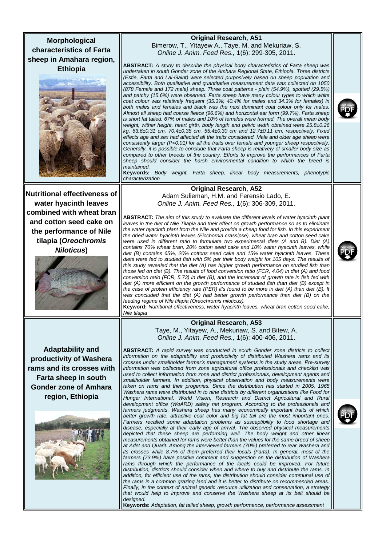**Morphological characteristics of Farta sheep in Amahara region, Ethiopia**



**Nutritional effectiveness of water hyacinth leaves combined with wheat bran and cotton seed cake on the performance of Nile tilapia (***Oreochromis Niloticus***)**



**Adaptability and productivity of Washera rams and its crosses with Farta sheep in south Gonder zone of Amhara region, Ethiopia**



#### **Original Research, A51** Bimerow, T., Yitayew A., Taye, M. and Mekuriaw, S. *Online J. Anim. Feed Res.,* 1(6): 299-305, 2011.

**ABSTRACT:** *A study to describe the physical body characteristics of Farta sheep was undertaken in south Gonder zone of the Amhara Regional State, Ethiopia. Three districts (Estie, Farta and Lai-Gaint) were selected purposively based on sheep population and accessibility. Both qualitative and quantitative measurement data was collected on 1050 (878 Female and 172 male) sheep. Three coat patterns - plain (54.9%), spotted (29.5%)*  and patchy (15.6%) were observed. Farta sheep have many colour types to which white *coat colour was relatively frequent (35.3%; 40.4% for males and 34.3% for females) in both males and females and black was the next dominant coat colour only for males. Almost all sheep had coarse fleece (96.6%) and horizontal ear form (99.7%). Farta sheep is short fat tailed. 67% of males and 10% of females were horned. The overall mean body weight, wither height, heart girth, body length and pelvic width obtained were 25.8±0.26 kg, 63.6±0.31 cm, 70.4±0.38 cm, 55.4±0.30 cm and 12.7±0.11 cm, respectively. Fixed effects age and sex had affected all the traits considered. Male and older age sheep were consistently larger (P<0.01) for all the traits over female and younger sheep respectively. Generally, it is possible to conclude that Farta sheep is relatively of smaller body size as compared to other breeds of the country. Efforts to improve the performances of Farta sheep should consider the harsh environmental condition to which the breed is maintained.*

**Keywords:** *Body weight, Farta sheep, linear body measurements, phenotypic characterization*

#### **Original Research, A52**

Adam Sulieman, H.M. and Ferensio Lado, E. *Online J. Anim. Feed Res.,* 1(6): 306-309, 2011.

**ABSTRACT:** *The aim of this study to evaluate the different levels of water hyacinth plant*  leaves in the diet of Nile Tilapia and their effect on growth performance so as to eliminate *the water hyacinth plant from the Nile and provide a cheap food for fish. In this experiment the dried water hyacinth leaves (Eicchornia crassipse), wheat bran and cotton seed cake were used in different ratio to formulate two experimental diets (A and B). Diet (A) contains 70% wheat bran, 20% cotton seed cake and 10% water hyacinth leaves, while diet (B) contains 65%, 20% cottons seed cake and 15% water hyacinth leaves. These diets were fed to studied fish with 5% per their body weight for 105 days. The results of this study revealed that the diet (A) has higher growth performance on studied fish than those fed on diet (B). The results of food conversion ratio (FCR, 4.04) in diet (A) and food conversion ratio (FCR, 5.73) in diet (B), and the increment of growth rate in fish fed with*  diet (A) more efficient on the growth performance of studied fish than diet (B) except in *the case of protein efficiency rate (PER) it's found to be more in diet (A) than diet (B). It*  was concluded that the diet (A) had better growth performance than diet (B) on the *feeding regime of Nile tilapia (Oreochromis niloticus).*

**Keyword:** *Nutritional effectiveness, water hyacinth leaves, wheat bran cotton seed cake, Nile tilapia* 

#### **Original Research, A53** Taye, M., Yitayew, A., Mekuriaw, S. and Bitew, A. *Online J. Anim. Feed Res.,* 1(6): 400-406, 2011.

**ABSTRACT:** *A rapid survey was conducted in south Gonder zone districts to collect information on the adaptability and productivity of distributed Washera rams and its crosses under smallholder farmer's management systems in the study areas. Pre-survey information was collected from zone agricultural office professionals and checklist was used to collect information from zone and district professionals, development agents and*  smallholder farmers. In addition, physical observation and body measurements were taken on rams and their progenies. Since the distribution has started in 2005, 1965 *Washera rams were distributed in to nine districts by different organizations like Food for Hunger International, World Vision, Research and District Agricultural and Rural development office (WoARD) safety net program. According to the professionals and farmers judgments, Washera sheep has many economically important traits of which better growth rate, attractive coat color and big fat tail are the most important ones.*  Farmers recalled some adaptation problems as susceptibility to food shortage and *disease, especially at their early age of arrival. The observed physical measurements*  depicted that these sheep are performing well. The body weight and other linear *measurements obtained for rams were better than the values for the same breed of sheep at Adet and Quarit. Among the interviewed farmers (70%) preferred to rear Washera and its crosses while 8.7% of them preferred their locals (Farta). In general, most of the* farmers (73.9%) have positive comment and suggestion on the distribution of Washera rams through which the performance of the locals could be improved. For future *distribution, districts should consider when and where to buy and distribute the rams. In*  addition, for efficient use of the rams, the distribution should consider communal use of *the rams in a common grazing land and it is better to distribute on recommended areas. Finally, in the context of animal genetic resource utilization and conservation, a strategy that would help to improve and conserve the Washera sheep at its belt should be designed.*

**Keywords:** *Adaptation, fat tailed sheep, growth performance, performance assessment*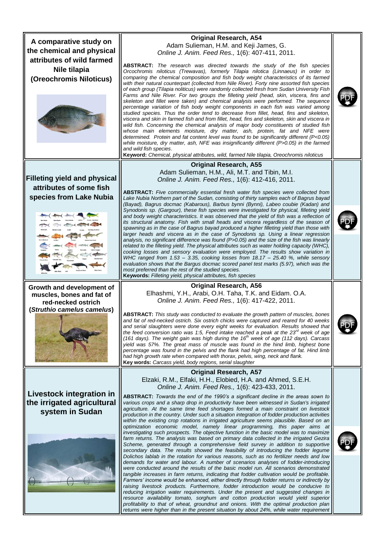